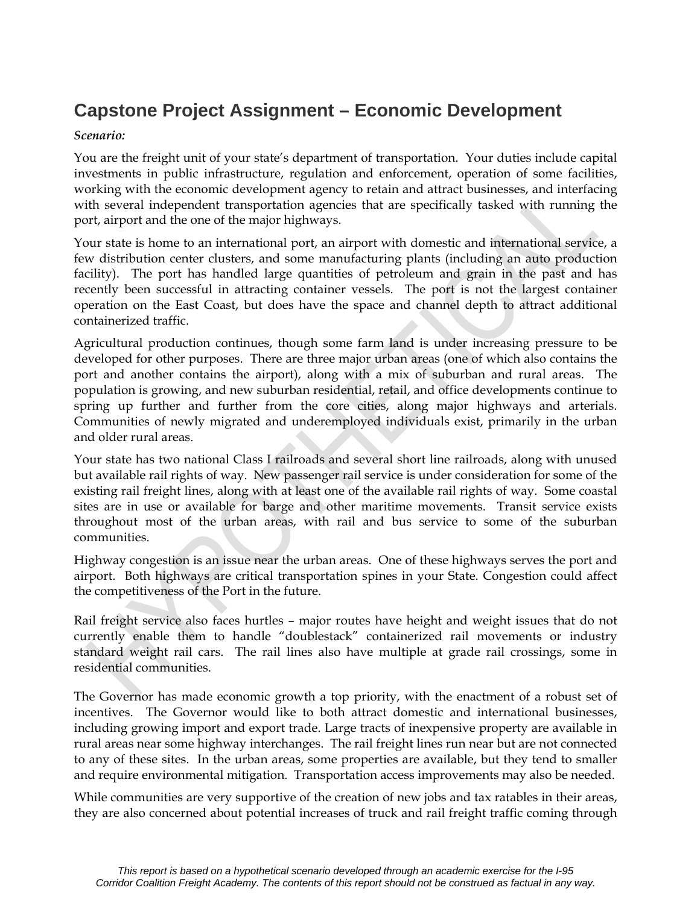#### **Capstone Project Assignment – Economic Development**

#### *Scenario:*

You are the freight unit of your state's department of transportation. Your duties include capital investments in public infrastructure, regulation and enforcement, operation of some facilities, working with the economic development agency to retain and attract businesses, and interfacing with several independent transportation agencies that are specifically tasked with running the port, airport and the one of the major highways.

Your state is home to an international port, an airport with domestic and international service, a few distribution center clusters, and some manufacturing plants (including an auto production facility). The port has handled large quantities of petroleum and grain in the past and has recently been successful in attracting container vessels. The port is not the largest container operation on the East Coast, but does have the space and channel depth to attract additional containerized traffic.

Agricultural production continues, though some farm land is under increasing pressure to be developed for other purposes. There are three major urban areas (one of which also contains the port and another contains the airport), along with a mix of suburban and rural areas. The population is growing, and new suburban residential, retail, and office developments continue to spring up further and further from the core cities, along major highways and arterials. Communities of newly migrated and underemployed individuals exist, primarily in the urban and older rural areas.

Your state has two national Class I railroads and several short line railroads, along with unused but available rail rights of way. New passenger rail service is under consideration for some of the existing rail freight lines, along with at least one of the available rail rights of way. Some coastal sites are in use or available for barge and other maritime movements. Transit service exists throughout most of the urban areas, with rail and bus service to some of the suburban communities.

Highway congestion is an issue near the urban areas. One of these highways serves the port and airport. Both highways are critical transportation spines in your State. Congestion could affect the competitiveness of the Port in the future.

Rail freight service also faces hurtles – major routes have height and weight issues that do not currently enable them to handle "doublestack" containerized rail movements or industry standard weight rail cars. The rail lines also have multiple at grade rail crossings, some in residential communities.

The Governor has made economic growth a top priority, with the enactment of a robust set of incentives. The Governor would like to both attract domestic and international businesses, including growing import and export trade. Large tracts of inexpensive property are available in rural areas near some highway interchanges. The rail freight lines run near but are not connected to any of these sites. In the urban areas, some properties are available, but they tend to smaller and require environmental mitigation. Transportation access improvements may also be needed.

While communities are very supportive of the creation of new jobs and tax ratables in their areas, they are also concerned about potential increases of truck and rail freight traffic coming through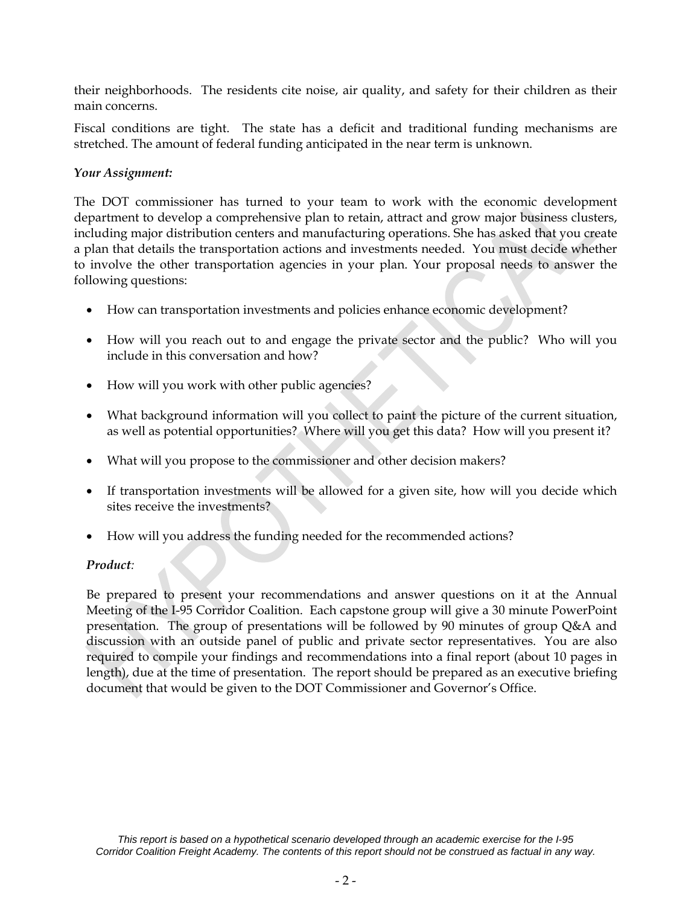their neighborhoods. The residents cite noise, air quality, and safety for their children as their main concerns.

Fiscal conditions are tight. The state has a deficit and traditional funding mechanisms are stretched. The amount of federal funding anticipated in the near term is unknown.

#### *Your Assignment:*

The DOT commissioner has turned to your team to work with the economic development department to develop a comprehensive plan to retain, attract and grow major business clusters, including major distribution centers and manufacturing operations. She has asked that you create a plan that details the transportation actions and investments needed. You must decide whether to involve the other transportation agencies in your plan. Your proposal needs to answer the following questions:

- How can transportation investments and policies enhance economic development?
- How will you reach out to and engage the private sector and the public? Who will you include in this conversation and how?
- How will you work with other public agencies?
- What background information will you collect to paint the picture of the current situation, as well as potential opportunities? Where will you get this data? How will you present it?
- What will you propose to the commissioner and other decision makers?
- If transportation investments will be allowed for a given site, how will you decide which sites receive the investments?
- How will you address the funding needed for the recommended actions?

#### *Product:*

Be prepared to present your recommendations and answer questions on it at the Annual Meeting of the I-95 Corridor Coalition. Each capstone group will give a 30 minute PowerPoint presentation. The group of presentations will be followed by 90 minutes of group Q&A and discussion with an outside panel of public and private sector representatives. You are also required to compile your findings and recommendations into a final report (about 10 pages in length), due at the time of presentation. The report should be prepared as an executive briefing document that would be given to the DOT Commissioner and Governor's Office.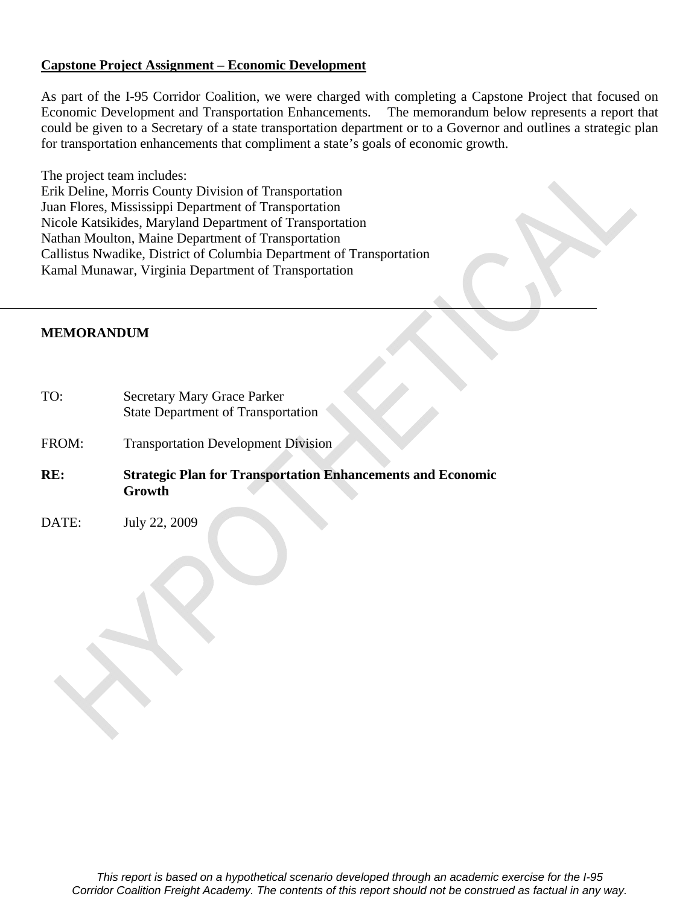#### **Capstone Project Assignment – Economic Development**

As part of the I-95 Corridor Coalition, we were charged with completing a Capstone Project that focused on Economic Development and Transportation Enhancements. The memorandum below represents a report that could be given to a Secretary of a state transportation department or to a Governor and outlines a strategic plan for transportation enhancements that compliment a state's goals of economic growth.

The project team includes: Erik Deline, Morris County Division of Transportation Juan Flores, Mississippi Department of Transportation Nicole Katsikides, Maryland Department of Transportation Nathan Moulton, Maine Department of Transportation Callistus Nwadike, District of Columbia Department of Transportation Kamal Munawar, Virginia Department of Transportation

#### **MEMORANDUM**

- TO: Secretary Mary Grace Parker State Department of Transportation
- FROM: Transportation Development Division
- **RE: Strategic Plan for Transportation Enhancements and Economic Growth**
- DATE: July 22, 2009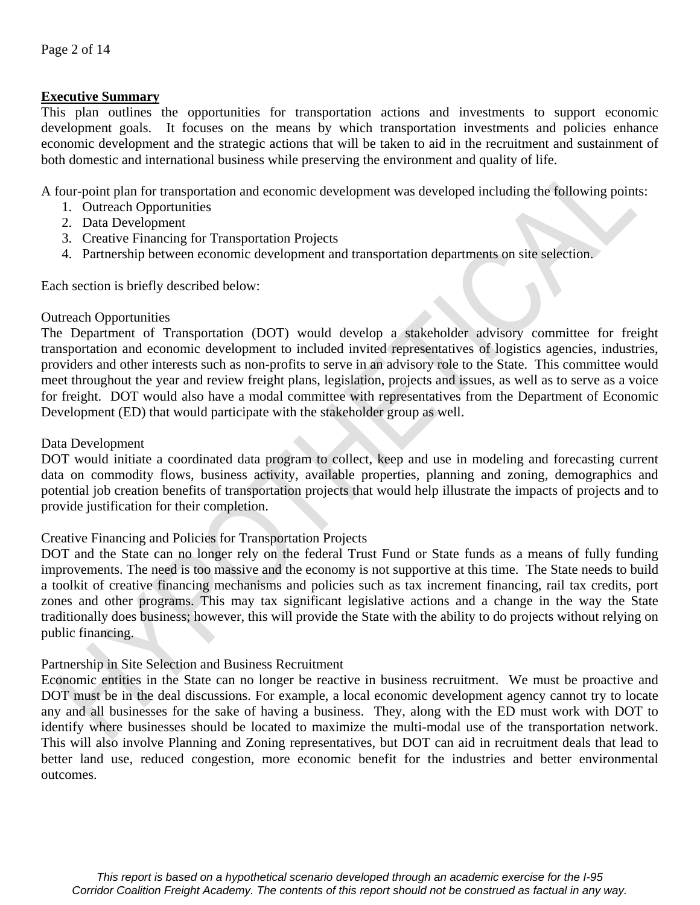#### **Executive Summary**

This plan outlines the opportunities for transportation actions and investments to support economic development goals. It focuses on the means by which transportation investments and policies enhance economic development and the strategic actions that will be taken to aid in the recruitment and sustainment of both domestic and international business while preserving the environment and quality of life.

A four-point plan for transportation and economic development was developed including the following points:

- 1. Outreach Opportunities
- 2. Data Development
- 3. Creative Financing for Transportation Projects
- 4. Partnership between economic development and transportation departments on site selection.

Each section is briefly described below:

#### Outreach Opportunities

The Department of Transportation (DOT) would develop a stakeholder advisory committee for freight transportation and economic development to included invited representatives of logistics agencies, industries, providers and other interests such as non-profits to serve in an advisory role to the State. This committee would meet throughout the year and review freight plans, legislation, projects and issues, as well as to serve as a voice for freight. DOT would also have a modal committee with representatives from the Department of Economic Development (ED) that would participate with the stakeholder group as well.

#### Data Development

DOT would initiate a coordinated data program to collect, keep and use in modeling and forecasting current data on commodity flows, business activity, available properties, planning and zoning, demographics and potential job creation benefits of transportation projects that would help illustrate the impacts of projects and to provide justification for their completion.

#### Creative Financing and Policies for Transportation Projects

DOT and the State can no longer rely on the federal Trust Fund or State funds as a means of fully funding improvements. The need is too massive and the economy is not supportive at this time. The State needs to build a toolkit of creative financing mechanisms and policies such as tax increment financing, rail tax credits, port zones and other programs. This may tax significant legislative actions and a change in the way the State traditionally does business; however, this will provide the State with the ability to do projects without relying on public financing.

#### Partnership in Site Selection and Business Recruitment

Economic entities in the State can no longer be reactive in business recruitment. We must be proactive and DOT must be in the deal discussions. For example, a local economic development agency cannot try to locate any and all businesses for the sake of having a business. They, along with the ED must work with DOT to identify where businesses should be located to maximize the multi-modal use of the transportation network. This will also involve Planning and Zoning representatives, but DOT can aid in recruitment deals that lead to better land use, reduced congestion, more economic benefit for the industries and better environmental outcomes.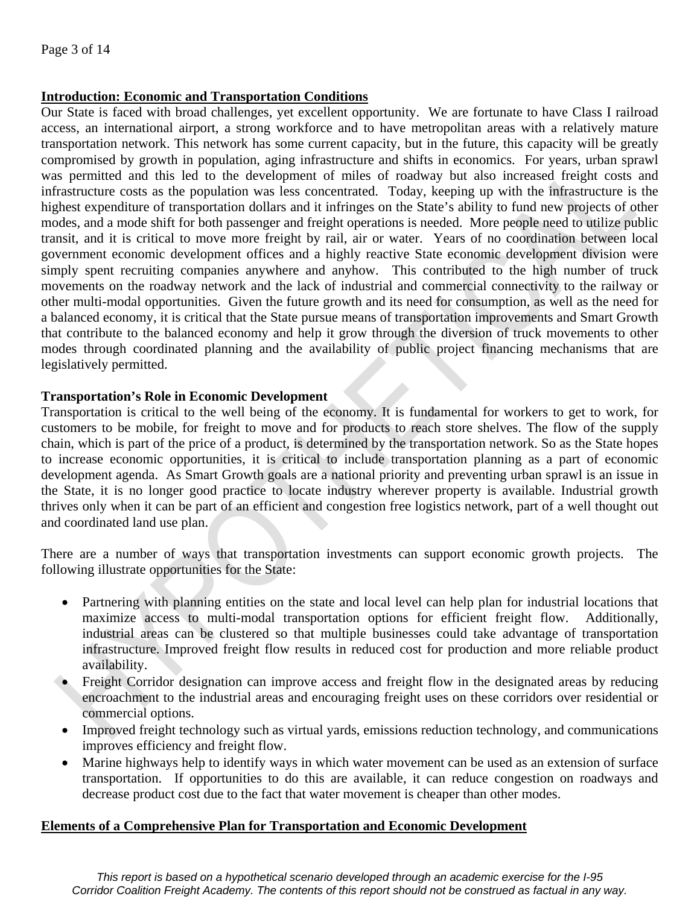#### **Introduction: Economic and Transportation Conditions**

Our State is faced with broad challenges, yet excellent opportunity. We are fortunate to have Class I railroad access, an international airport, a strong workforce and to have metropolitan areas with a relatively mature transportation network. This network has some current capacity, but in the future, this capacity will be greatly compromised by growth in population, aging infrastructure and shifts in economics. For years, urban sprawl was permitted and this led to the development of miles of roadway but also increased freight costs and infrastructure costs as the population was less concentrated. Today, keeping up with the infrastructure is the highest expenditure of transportation dollars and it infringes on the State's ability to fund new projects of other modes, and a mode shift for both passenger and freight operations is needed. More people need to utilize public transit, and it is critical to move more freight by rail, air or water. Years of no coordination between local government economic development offices and a highly reactive State economic development division were simply spent recruiting companies anywhere and anyhow. This contributed to the high number of truck movements on the roadway network and the lack of industrial and commercial connectivity to the railway or other multi-modal opportunities. Given the future growth and its need for consumption, as well as the need for a balanced economy, it is critical that the State pursue means of transportation improvements and Smart Growth that contribute to the balanced economy and help it grow through the diversion of truck movements to other modes through coordinated planning and the availability of public project financing mechanisms that are legislatively permitted.

#### **Transportation's Role in Economic Development**

Transportation is critical to the well being of the economy. It is fundamental for workers to get to work, for customers to be mobile, for freight to move and for products to reach store shelves. The flow of the supply chain, which is part of the price of a product, is determined by the transportation network. So as the State hopes to increase economic opportunities, it is critical to include transportation planning as a part of economic development agenda. As Smart Growth goals are a national priority and preventing urban sprawl is an issue in the State, it is no longer good practice to locate industry wherever property is available. Industrial growth thrives only when it can be part of an efficient and congestion free logistics network, part of a well thought out and coordinated land use plan.

There are a number of ways that transportation investments can support economic growth projects. The following illustrate opportunities for the State:

- Partnering with planning entities on the state and local level can help plan for industrial locations that maximize access to multi-modal transportation options for efficient freight flow. Additionally, industrial areas can be clustered so that multiple businesses could take advantage of transportation infrastructure. Improved freight flow results in reduced cost for production and more reliable product availability.
- Freight Corridor designation can improve access and freight flow in the designated areas by reducing encroachment to the industrial areas and encouraging freight uses on these corridors over residential or commercial options.
- Improved freight technology such as virtual yards, emissions reduction technology, and communications improves efficiency and freight flow.
- Marine highways help to identify ways in which water movement can be used as an extension of surface transportation. If opportunities to do this are available, it can reduce congestion on roadways and decrease product cost due to the fact that water movement is cheaper than other modes.

#### **Elements of a Comprehensive Plan for Transportation and Economic Development**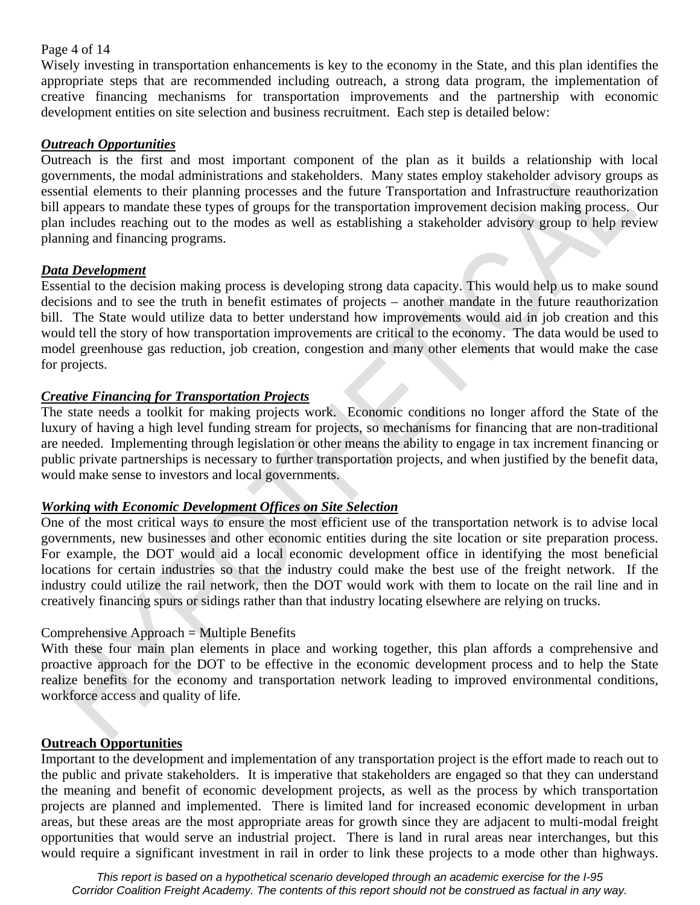#### Page 4 of 14

Wisely investing in transportation enhancements is key to the economy in the State, and this plan identifies the appropriate steps that are recommended including outreach, a strong data program, the implementation of creative financing mechanisms for transportation improvements and the partnership with economic development entities on site selection and business recruitment. Each step is detailed below:

#### *Outreach Opportunities*

Outreach is the first and most important component of the plan as it builds a relationship with local governments, the modal administrations and stakeholders. Many states employ stakeholder advisory groups as essential elements to their planning processes and the future Transportation and Infrastructure reauthorization bill appears to mandate these types of groups for the transportation improvement decision making process. Our plan includes reaching out to the modes as well as establishing a stakeholder advisory group to help review planning and financing programs.

#### *Data Development*

Essential to the decision making process is developing strong data capacity. This would help us to make sound decisions and to see the truth in benefit estimates of projects – another mandate in the future reauthorization bill. The State would utilize data to better understand how improvements would aid in job creation and this would tell the story of how transportation improvements are critical to the economy. The data would be used to model greenhouse gas reduction, job creation, congestion and many other elements that would make the case for projects.

#### *Creative Financing for Transportation Projects*

The state needs a toolkit for making projects work. Economic conditions no longer afford the State of the luxury of having a high level funding stream for projects, so mechanisms for financing that are non-traditional are needed. Implementing through legislation or other means the ability to engage in tax increment financing or public private partnerships is necessary to further transportation projects, and when justified by the benefit data, would make sense to investors and local governments.

#### *Working with Economic Development Offices on Site Selection*

One of the most critical ways to ensure the most efficient use of the transportation network is to advise local governments, new businesses and other economic entities during the site location or site preparation process. For example, the DOT would aid a local economic development office in identifying the most beneficial locations for certain industries so that the industry could make the best use of the freight network. If the industry could utilize the rail network, then the DOT would work with them to locate on the rail line and in creatively financing spurs or sidings rather than that industry locating elsewhere are relying on trucks.

#### Comprehensive Approach = Multiple Benefits

With these four main plan elements in place and working together, this plan affords a comprehensive and proactive approach for the DOT to be effective in the economic development process and to help the State realize benefits for the economy and transportation network leading to improved environmental conditions, workforce access and quality of life.

#### **Outreach Opportunities**

Important to the development and implementation of any transportation project is the effort made to reach out to the public and private stakeholders. It is imperative that stakeholders are engaged so that they can understand the meaning and benefit of economic development projects, as well as the process by which transportation projects are planned and implemented. There is limited land for increased economic development in urban areas, but these areas are the most appropriate areas for growth since they are adjacent to multi-modal freight opportunities that would serve an industrial project. There is land in rural areas near interchanges, but this would require a significant investment in rail in order to link these projects to a mode other than highways.

*This report is based on a hypothetical scenario developed through an academic exercise for the I-95 Corridor Coalition Freight Academy. The contents of this report should not be construed as factual in any way.*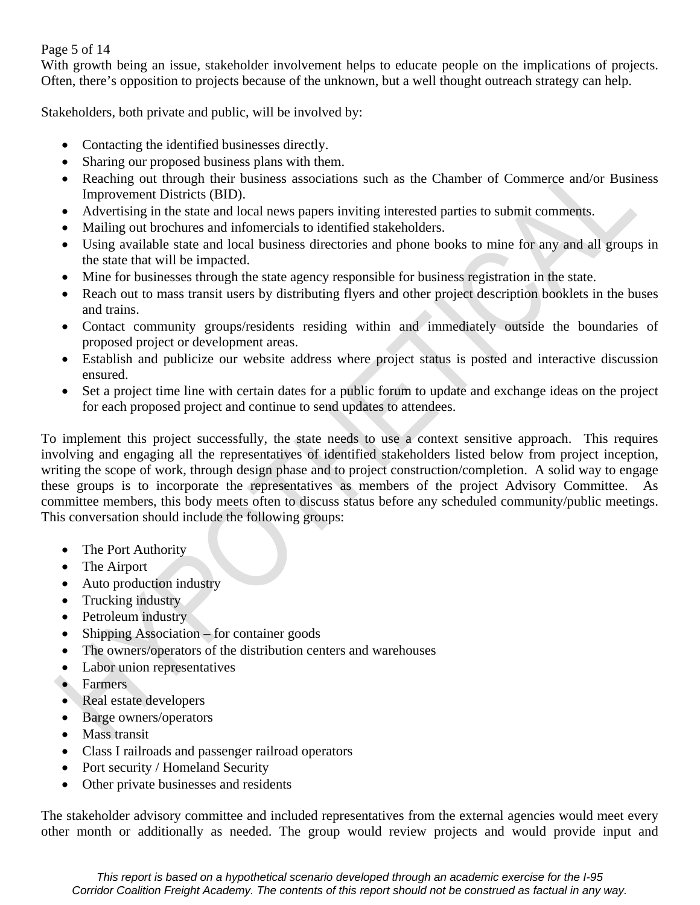#### Page 5 of 14

With growth being an issue, stakeholder involvement helps to educate people on the implications of projects. Often, there's opposition to projects because of the unknown, but a well thought outreach strategy can help.

Stakeholders, both private and public, will be involved by:

- Contacting the identified businesses directly.
- Sharing our proposed business plans with them.
- Reaching out through their business associations such as the Chamber of Commerce and/or Business Improvement Districts (BID).
- Advertising in the state and local news papers inviting interested parties to submit comments.
- Mailing out brochures and infomercials to identified stakeholders.
- Using available state and local business directories and phone books to mine for any and all groups in the state that will be impacted.
- Mine for businesses through the state agency responsible for business registration in the state.
- Reach out to mass transit users by distributing flyers and other project description booklets in the buses and trains.
- Contact community groups/residents residing within and immediately outside the boundaries of proposed project or development areas.
- Establish and publicize our website address where project status is posted and interactive discussion ensured.
- Set a project time line with certain dates for a public forum to update and exchange ideas on the project for each proposed project and continue to send updates to attendees.

To implement this project successfully, the state needs to use a context sensitive approach. This requires involving and engaging all the representatives of identified stakeholders listed below from project inception, writing the scope of work, through design phase and to project construction/completion. A solid way to engage these groups is to incorporate the representatives as members of the project Advisory Committee. As committee members, this body meets often to discuss status before any scheduled community/public meetings. This conversation should include the following groups:

- The Port Authority
- The Airport
- Auto production industry
- Trucking industry
- Petroleum industry
- Shipping Association for container goods
- The owners/operators of the distribution centers and warehouses
- Labor union representatives
- Farmers
- Real estate developers
- Barge owners/operators
- Mass transit
- Class I railroads and passenger railroad operators
- Port security / Homeland Security
- Other private businesses and residents

The stakeholder advisory committee and included representatives from the external agencies would meet every other month or additionally as needed. The group would review projects and would provide input and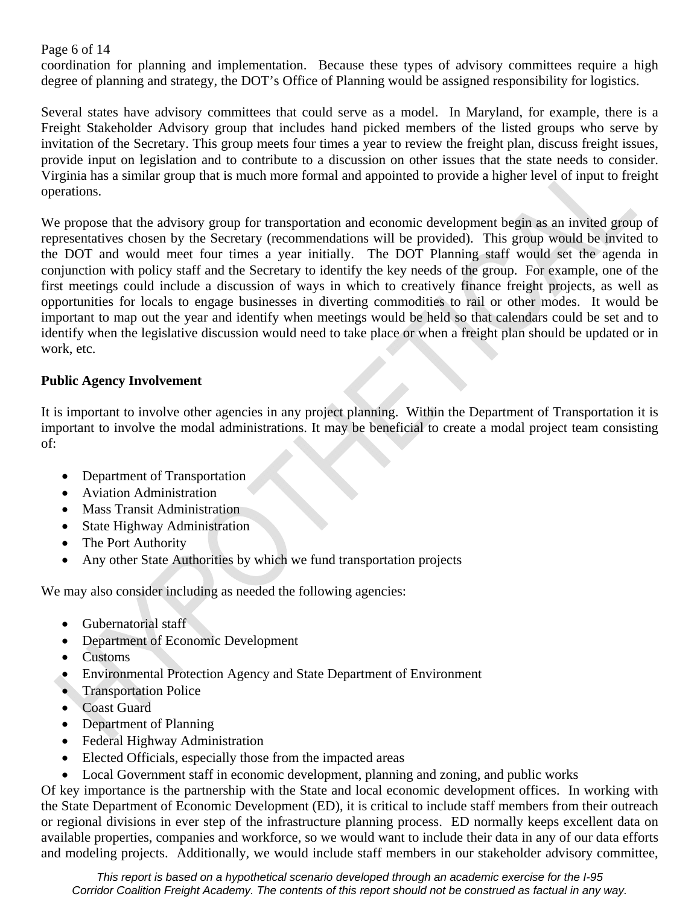Page 6 of 14

coordination for planning and implementation. Because these types of advisory committees require a high degree of planning and strategy, the DOT's Office of Planning would be assigned responsibility for logistics.

Several states have advisory committees that could serve as a model. In Maryland, for example, there is a Freight Stakeholder Advisory group that includes hand picked members of the listed groups who serve by invitation of the Secretary. This group meets four times a year to review the freight plan, discuss freight issues, provide input on legislation and to contribute to a discussion on other issues that the state needs to consider. Virginia has a similar group that is much more formal and appointed to provide a higher level of input to freight operations.

We propose that the advisory group for transportation and economic development begin as an invited group of representatives chosen by the Secretary (recommendations will be provided). This group would be invited to the DOT and would meet four times a year initially. The DOT Planning staff would set the agenda in conjunction with policy staff and the Secretary to identify the key needs of the group. For example, one of the first meetings could include a discussion of ways in which to creatively finance freight projects, as well as opportunities for locals to engage businesses in diverting commodities to rail or other modes. It would be important to map out the year and identify when meetings would be held so that calendars could be set and to identify when the legislative discussion would need to take place or when a freight plan should be updated or in work, etc.

#### **Public Agency Involvement**

It is important to involve other agencies in any project planning. Within the Department of Transportation it is important to involve the modal administrations. It may be beneficial to create a modal project team consisting of:

- Department of Transportation
- Aviation Administration
- Mass Transit Administration
- State Highway Administration
- The Port Authority
- Any other State Authorities by which we fund transportation projects

We may also consider including as needed the following agencies:

- Gubernatorial staff
- Department of Economic Development
- Customs
- Environmental Protection Agency and State Department of Environment
- **Transportation Police**
- Coast Guard
- Department of Planning
- Federal Highway Administration
- Elected Officials, especially those from the impacted areas
- Local Government staff in economic development, planning and zoning, and public works

Of key importance is the partnership with the State and local economic development offices. In working with the State Department of Economic Development (ED), it is critical to include staff members from their outreach or regional divisions in ever step of the infrastructure planning process. ED normally keeps excellent data on available properties, companies and workforce, so we would want to include their data in any of our data efforts and modeling projects. Additionally, we would include staff members in our stakeholder advisory committee,

*This report is based on a hypothetical scenario developed through an academic exercise for the I-95 Corridor Coalition Freight Academy. The contents of this report should not be construed as factual in any way.*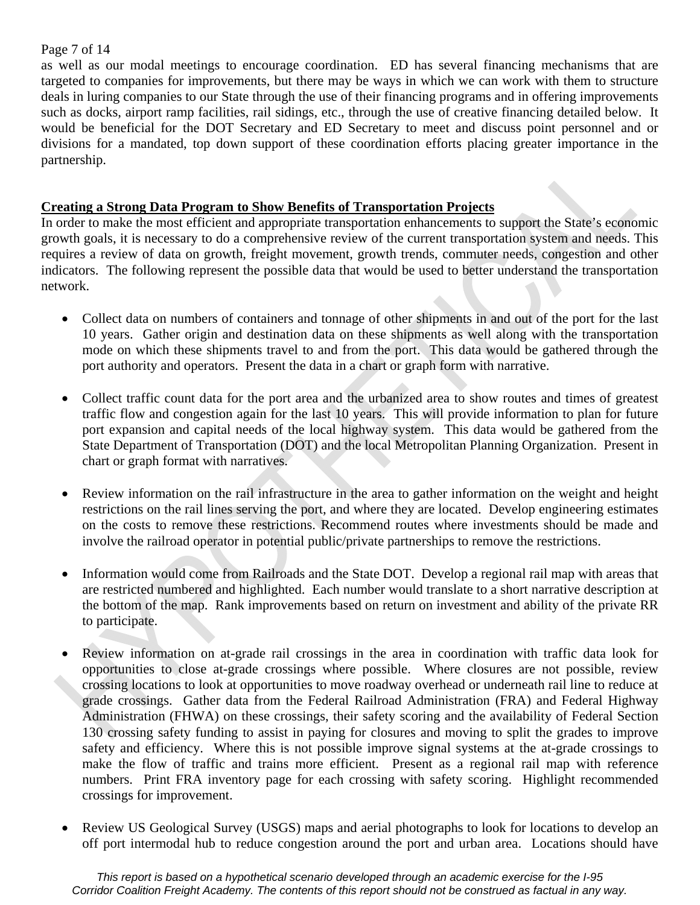#### Page 7 of 14

as well as our modal meetings to encourage coordination. ED has several financing mechanisms that are targeted to companies for improvements, but there may be ways in which we can work with them to structure deals in luring companies to our State through the use of their financing programs and in offering improvements such as docks, airport ramp facilities, rail sidings, etc., through the use of creative financing detailed below. It would be beneficial for the DOT Secretary and ED Secretary to meet and discuss point personnel and or divisions for a mandated, top down support of these coordination efforts placing greater importance in the partnership.

#### **Creating a Strong Data Program to Show Benefits of Transportation Projects**

In order to make the most efficient and appropriate transportation enhancements to support the State's economic growth goals, it is necessary to do a comprehensive review of the current transportation system and needs. This requires a review of data on growth, freight movement, growth trends, commuter needs, congestion and other indicators. The following represent the possible data that would be used to better understand the transportation network.

- Collect data on numbers of containers and tonnage of other shipments in and out of the port for the last 10 years. Gather origin and destination data on these shipments as well along with the transportation mode on which these shipments travel to and from the port. This data would be gathered through the port authority and operators. Present the data in a chart or graph form with narrative.
- Collect traffic count data for the port area and the urbanized area to show routes and times of greatest traffic flow and congestion again for the last 10 years. This will provide information to plan for future port expansion and capital needs of the local highway system. This data would be gathered from the State Department of Transportation (DOT) and the local Metropolitan Planning Organization. Present in chart or graph format with narratives.
- Review information on the rail infrastructure in the area to gather information on the weight and height restrictions on the rail lines serving the port, and where they are located. Develop engineering estimates on the costs to remove these restrictions. Recommend routes where investments should be made and involve the railroad operator in potential public/private partnerships to remove the restrictions.
- Information would come from Railroads and the State DOT. Develop a regional rail map with areas that are restricted numbered and highlighted. Each number would translate to a short narrative description at the bottom of the map. Rank improvements based on return on investment and ability of the private RR to participate.
- Review information on at-grade rail crossings in the area in coordination with traffic data look for opportunities to close at-grade crossings where possible. Where closures are not possible, review crossing locations to look at opportunities to move roadway overhead or underneath rail line to reduce at grade crossings. Gather data from the Federal Railroad Administration (FRA) and Federal Highway Administration (FHWA) on these crossings, their safety scoring and the availability of Federal Section 130 crossing safety funding to assist in paying for closures and moving to split the grades to improve safety and efficiency. Where this is not possible improve signal systems at the at-grade crossings to make the flow of traffic and trains more efficient. Present as a regional rail map with reference numbers. Print FRA inventory page for each crossing with safety scoring. Highlight recommended crossings for improvement.
- Review US Geological Survey (USGS) maps and aerial photographs to look for locations to develop an off port intermodal hub to reduce congestion around the port and urban area. Locations should have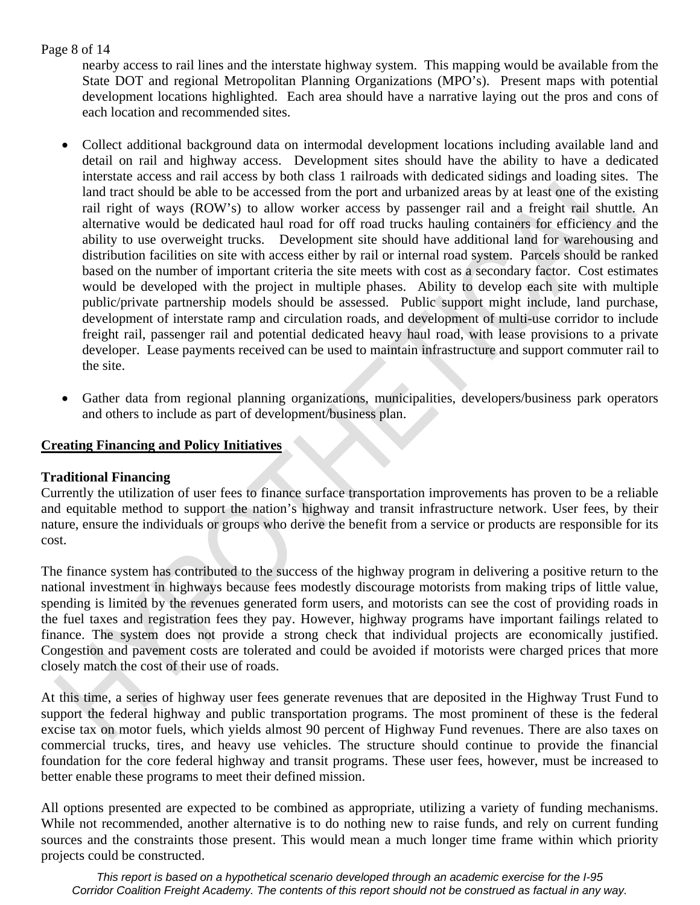#### Page 8 of 14

nearby access to rail lines and the interstate highway system. This mapping would be available from the State DOT and regional Metropolitan Planning Organizations (MPO's). Present maps with potential development locations highlighted. Each area should have a narrative laying out the pros and cons of each location and recommended sites.

- Collect additional background data on intermodal development locations including available land and detail on rail and highway access. Development sites should have the ability to have a dedicated interstate access and rail access by both class 1 railroads with dedicated sidings and loading sites. The land tract should be able to be accessed from the port and urbanized areas by at least one of the existing rail right of ways (ROW's) to allow worker access by passenger rail and a freight rail shuttle. An alternative would be dedicated haul road for off road trucks hauling containers for efficiency and the ability to use overweight trucks. Development site should have additional land for warehousing and distribution facilities on site with access either by rail or internal road system. Parcels should be ranked based on the number of important criteria the site meets with cost as a secondary factor. Cost estimates would be developed with the project in multiple phases. Ability to develop each site with multiple public/private partnership models should be assessed. Public support might include, land purchase, development of interstate ramp and circulation roads, and development of multi-use corridor to include freight rail, passenger rail and potential dedicated heavy haul road, with lease provisions to a private developer. Lease payments received can be used to maintain infrastructure and support commuter rail to the site.
- Gather data from regional planning organizations, municipalities, developers/business park operators and others to include as part of development/business plan.

#### **Creating Financing and Policy Initiatives**

#### **Traditional Financing**

Currently the utilization of user fees to finance surface transportation improvements has proven to be a reliable and equitable method to support the nation's highway and transit infrastructure network. User fees, by their nature, ensure the individuals or groups who derive the benefit from a service or products are responsible for its cost.

The finance system has contributed to the success of the highway program in delivering a positive return to the national investment in highways because fees modestly discourage motorists from making trips of little value, spending is limited by the revenues generated form users, and motorists can see the cost of providing roads in the fuel taxes and registration fees they pay. However, highway programs have important failings related to finance. The system does not provide a strong check that individual projects are economically justified. Congestion and pavement costs are tolerated and could be avoided if motorists were charged prices that more closely match the cost of their use of roads.

At this time, a series of highway user fees generate revenues that are deposited in the Highway Trust Fund to support the federal highway and public transportation programs. The most prominent of these is the federal excise tax on motor fuels, which yields almost 90 percent of Highway Fund revenues. There are also taxes on commercial trucks, tires, and heavy use vehicles. The structure should continue to provide the financial foundation for the core federal highway and transit programs. These user fees, however, must be increased to better enable these programs to meet their defined mission.

All options presented are expected to be combined as appropriate, utilizing a variety of funding mechanisms. While not recommended, another alternative is to do nothing new to raise funds, and rely on current funding sources and the constraints those present. This would mean a much longer time frame within which priority projects could be constructed.

*This report is based on a hypothetical scenario developed through an academic exercise for the I-95 Corridor Coalition Freight Academy. The contents of this report should not be construed as factual in any way.*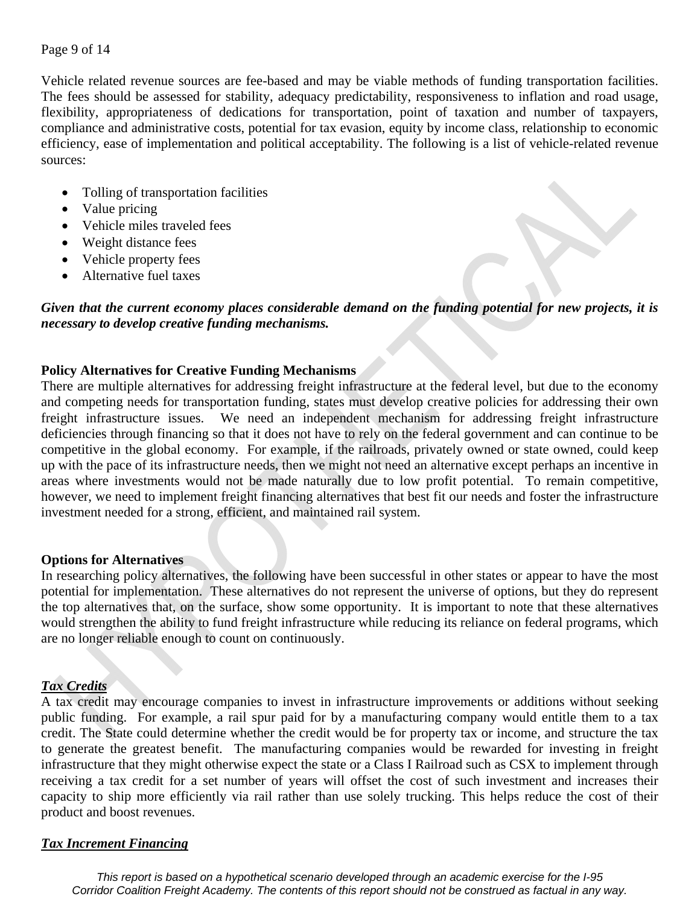Vehicle related revenue sources are fee-based and may be viable methods of funding transportation facilities. The fees should be assessed for stability, adequacy predictability, responsiveness to inflation and road usage, flexibility, appropriateness of dedications for transportation, point of taxation and number of taxpayers, compliance and administrative costs, potential for tax evasion, equity by income class, relationship to economic efficiency, ease of implementation and political acceptability. The following is a list of vehicle-related revenue sources:

- Tolling of transportation facilities
- Value pricing
- Vehicle miles traveled fees
- Weight distance fees
- Vehicle property fees
- Alternative fuel taxes

#### *Given that the current economy places considerable demand on the funding potential for new projects, it is necessary to develop creative funding mechanisms.*

#### **Policy Alternatives for Creative Funding Mechanisms**

There are multiple alternatives for addressing freight infrastructure at the federal level, but due to the economy and competing needs for transportation funding, states must develop creative policies for addressing their own freight infrastructure issues. We need an independent mechanism for addressing freight infrastructure deficiencies through financing so that it does not have to rely on the federal government and can continue to be competitive in the global economy. For example, if the railroads, privately owned or state owned, could keep up with the pace of its infrastructure needs, then we might not need an alternative except perhaps an incentive in areas where investments would not be made naturally due to low profit potential. To remain competitive, however, we need to implement freight financing alternatives that best fit our needs and foster the infrastructure investment needed for a strong, efficient, and maintained rail system.

#### **Options for Alternatives**

In researching policy alternatives, the following have been successful in other states or appear to have the most potential for implementation. These alternatives do not represent the universe of options, but they do represent the top alternatives that, on the surface, show some opportunity. It is important to note that these alternatives would strengthen the ability to fund freight infrastructure while reducing its reliance on federal programs, which are no longer reliable enough to count on continuously.

#### *Tax Credits*

A tax credit may encourage companies to invest in infrastructure improvements or additions without seeking public funding. For example, a rail spur paid for by a manufacturing company would entitle them to a tax credit. The State could determine whether the credit would be for property tax or income, and structure the tax to generate the greatest benefit. The manufacturing companies would be rewarded for investing in freight infrastructure that they might otherwise expect the state or a Class I Railroad such as CSX to implement through receiving a tax credit for a set number of years will offset the cost of such investment and increases their capacity to ship more efficiently via rail rather than use solely trucking. This helps reduce the cost of their product and boost revenues.

#### *Tax Increment Financing*

*This report is based on a hypothetical scenario developed through an academic exercise for the I-95 Corridor Coalition Freight Academy. The contents of this report should not be construed as factual in any way.*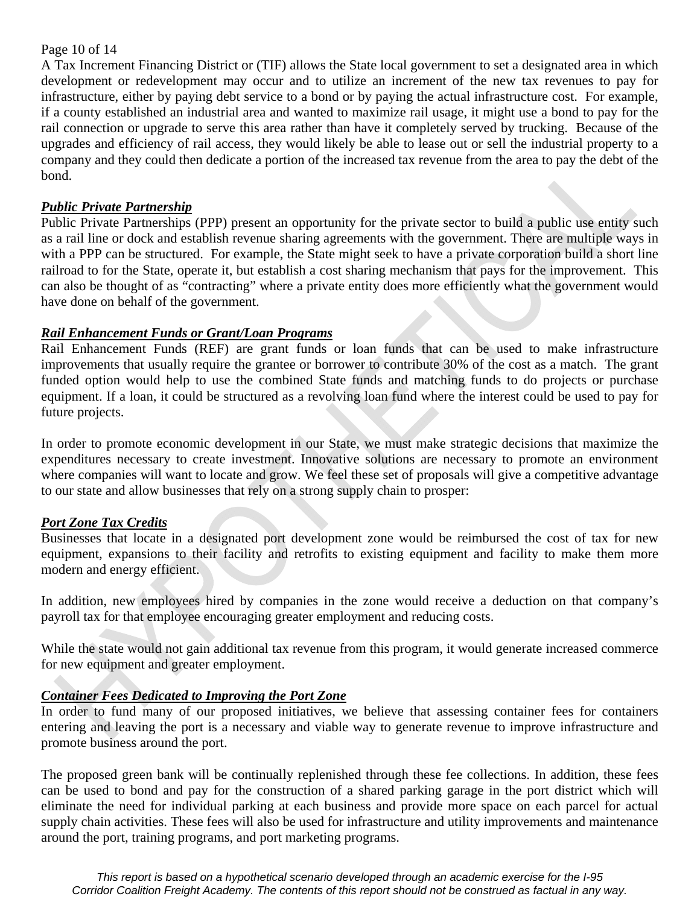#### Page 10 of 14

A Tax Increment Financing District or (TIF) allows the State local government to set a designated area in which development or redevelopment may occur and to utilize an increment of the new tax revenues to pay for infrastructure, either by paying debt service to a bond or by paying the actual infrastructure cost. For example, if a county established an industrial area and wanted to maximize rail usage, it might use a bond to pay for the rail connection or upgrade to serve this area rather than have it completely served by trucking. Because of the upgrades and efficiency of rail access, they would likely be able to lease out or sell the industrial property to a company and they could then dedicate a portion of the increased tax revenue from the area to pay the debt of the bond.

#### *Public Private Partnership*

Public Private Partnerships (PPP) present an opportunity for the private sector to build a public use entity such as a rail line or dock and establish revenue sharing agreements with the government. There are multiple ways in with a PPP can be structured. For example, the State might seek to have a private corporation build a short line railroad to for the State, operate it, but establish a cost sharing mechanism that pays for the improvement. This can also be thought of as "contracting" where a private entity does more efficiently what the government would have done on behalf of the government.

#### *Rail Enhancement Funds or Grant/Loan Programs*

Rail Enhancement Funds (REF) are grant funds or loan funds that can be used to make infrastructure improvements that usually require the grantee or borrower to contribute 30% of the cost as a match. The grant funded option would help to use the combined State funds and matching funds to do projects or purchase equipment. If a loan, it could be structured as a revolving loan fund where the interest could be used to pay for future projects.

In order to promote economic development in our State, we must make strategic decisions that maximize the expenditures necessary to create investment. Innovative solutions are necessary to promote an environment where companies will want to locate and grow. We feel these set of proposals will give a competitive advantage to our state and allow businesses that rely on a strong supply chain to prosper:

#### *Port Zone Tax Credits*

Businesses that locate in a designated port development zone would be reimbursed the cost of tax for new equipment, expansions to their facility and retrofits to existing equipment and facility to make them more modern and energy efficient.

In addition, new employees hired by companies in the zone would receive a deduction on that company's payroll tax for that employee encouraging greater employment and reducing costs.

While the state would not gain additional tax revenue from this program, it would generate increased commerce for new equipment and greater employment.

#### *Container Fees Dedicated to Improving the Port Zone*

In order to fund many of our proposed initiatives, we believe that assessing container fees for containers entering and leaving the port is a necessary and viable way to generate revenue to improve infrastructure and promote business around the port.

The proposed green bank will be continually replenished through these fee collections. In addition, these fees can be used to bond and pay for the construction of a shared parking garage in the port district which will eliminate the need for individual parking at each business and provide more space on each parcel for actual supply chain activities. These fees will also be used for infrastructure and utility improvements and maintenance around the port, training programs, and port marketing programs.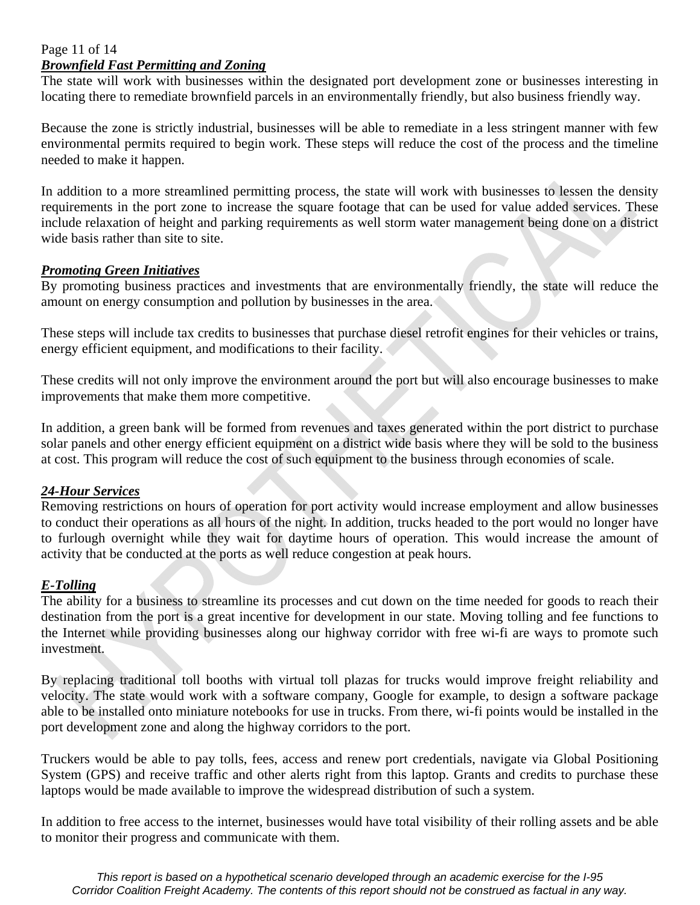#### Page 11 of 14 *Brownfield Fast Permitting and Zoning*

The state will work with businesses within the designated port development zone or businesses interesting in locating there to remediate brownfield parcels in an environmentally friendly, but also business friendly way.

Because the zone is strictly industrial, businesses will be able to remediate in a less stringent manner with few environmental permits required to begin work. These steps will reduce the cost of the process and the timeline needed to make it happen.

In addition to a more streamlined permitting process, the state will work with businesses to lessen the density requirements in the port zone to increase the square footage that can be used for value added services. These include relaxation of height and parking requirements as well storm water management being done on a district wide basis rather than site to site.

#### *Promoting Green Initiatives*

By promoting business practices and investments that are environmentally friendly, the state will reduce the amount on energy consumption and pollution by businesses in the area.

These steps will include tax credits to businesses that purchase diesel retrofit engines for their vehicles or trains, energy efficient equipment, and modifications to their facility.

These credits will not only improve the environment around the port but will also encourage businesses to make improvements that make them more competitive.

In addition, a green bank will be formed from revenues and taxes generated within the port district to purchase solar panels and other energy efficient equipment on a district wide basis where they will be sold to the business at cost. This program will reduce the cost of such equipment to the business through economies of scale.

#### *24-Hour Services*

Removing restrictions on hours of operation for port activity would increase employment and allow businesses to conduct their operations as all hours of the night. In addition, trucks headed to the port would no longer have to furlough overnight while they wait for daytime hours of operation. This would increase the amount of activity that be conducted at the ports as well reduce congestion at peak hours.

#### *E-Tolling*

The ability for a business to streamline its processes and cut down on the time needed for goods to reach their destination from the port is a great incentive for development in our state. Moving tolling and fee functions to the Internet while providing businesses along our highway corridor with free wi-fi are ways to promote such investment.

By replacing traditional toll booths with virtual toll plazas for trucks would improve freight reliability and velocity. The state would work with a software company, Google for example, to design a software package able to be installed onto miniature notebooks for use in trucks. From there, wi-fi points would be installed in the port development zone and along the highway corridors to the port.

Truckers would be able to pay tolls, fees, access and renew port credentials, navigate via Global Positioning System (GPS) and receive traffic and other alerts right from this laptop. Grants and credits to purchase these laptops would be made available to improve the widespread distribution of such a system.

In addition to free access to the internet, businesses would have total visibility of their rolling assets and be able to monitor their progress and communicate with them.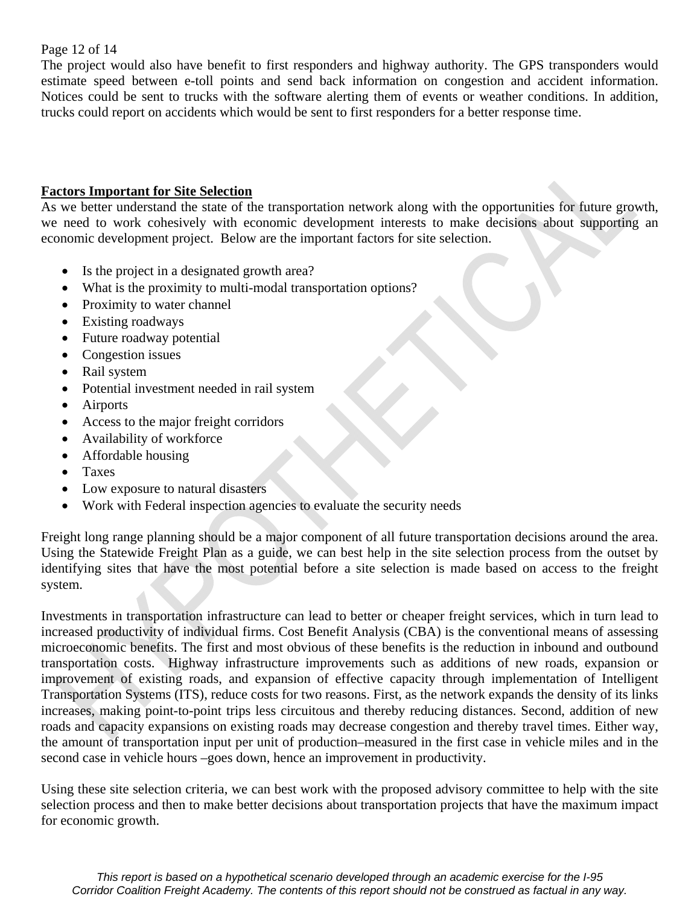#### Page 12 of 14

The project would also have benefit to first responders and highway authority. The GPS transponders would estimate speed between e-toll points and send back information on congestion and accident information. Notices could be sent to trucks with the software alerting them of events or weather conditions. In addition, trucks could report on accidents which would be sent to first responders for a better response time.

#### **Factors Important for Site Selection**

As we better understand the state of the transportation network along with the opportunities for future growth, we need to work cohesively with economic development interests to make decisions about supporting an economic development project. Below are the important factors for site selection.

- Is the project in a designated growth area?
- What is the proximity to multi-modal transportation options?
- Proximity to water channel
- Existing roadways
- Future roadway potential
- Congestion issues
- Rail system
- Potential investment needed in rail system
- Airports
- Access to the major freight corridors
- Availability of workforce
- Affordable housing
- Taxes
- Low exposure to natural disasters
- Work with Federal inspection agencies to evaluate the security needs

Freight long range planning should be a major component of all future transportation decisions around the area. Using the Statewide Freight Plan as a guide, we can best help in the site selection process from the outset by identifying sites that have the most potential before a site selection is made based on access to the freight system.

Investments in transportation infrastructure can lead to better or cheaper freight services, which in turn lead to increased productivity of individual firms. Cost Benefit Analysis (CBA) is the conventional means of assessing microeconomic benefits. The first and most obvious of these benefits is the reduction in inbound and outbound transportation costs. Highway infrastructure improvements such as additions of new roads, expansion or improvement of existing roads, and expansion of effective capacity through implementation of Intelligent Transportation Systems (ITS), reduce costs for two reasons. First, as the network expands the density of its links increases, making point-to-point trips less circuitous and thereby reducing distances. Second, addition of new roads and capacity expansions on existing roads may decrease congestion and thereby travel times. Either way, the amount of transportation input per unit of production–measured in the first case in vehicle miles and in the second case in vehicle hours –goes down, hence an improvement in productivity.

Using these site selection criteria, we can best work with the proposed advisory committee to help with the site selection process and then to make better decisions about transportation projects that have the maximum impact for economic growth.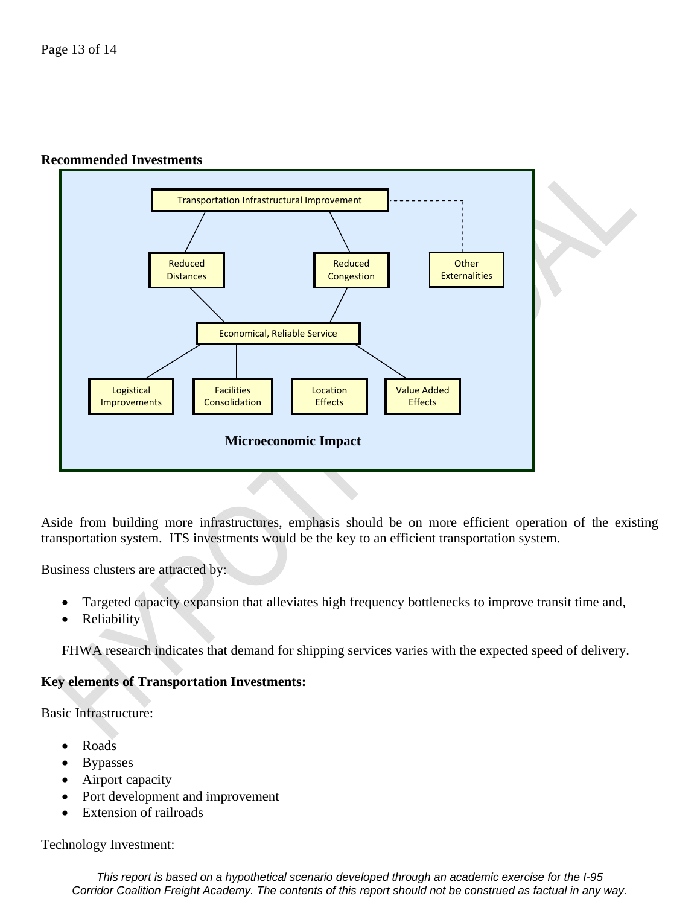#### **Recommended Investments**



Aside from building more infrastructures, emphasis should be on more efficient operation of the existing transportation system. ITS investments would be the key to an efficient transportation system.

Business clusters are attracted by:

- Targeted capacity expansion that alleviates high frequency bottlenecks to improve transit time and,
- **Reliability**

FHWA research indicates that demand for shipping services varies with the expected speed of delivery.

#### **Key elements of Transportation Investments:**

Basic Infrastructure:

- Roads
- **Bypasses**
- Airport capacity
- Port development and improvement
- **Extension of railroads**

Technology Investment:

*This report is based on a hypothetical scenario developed through an academic exercise for the I-95 Corridor Coalition Freight Academy. The contents of this report should not be construed as factual in any way.*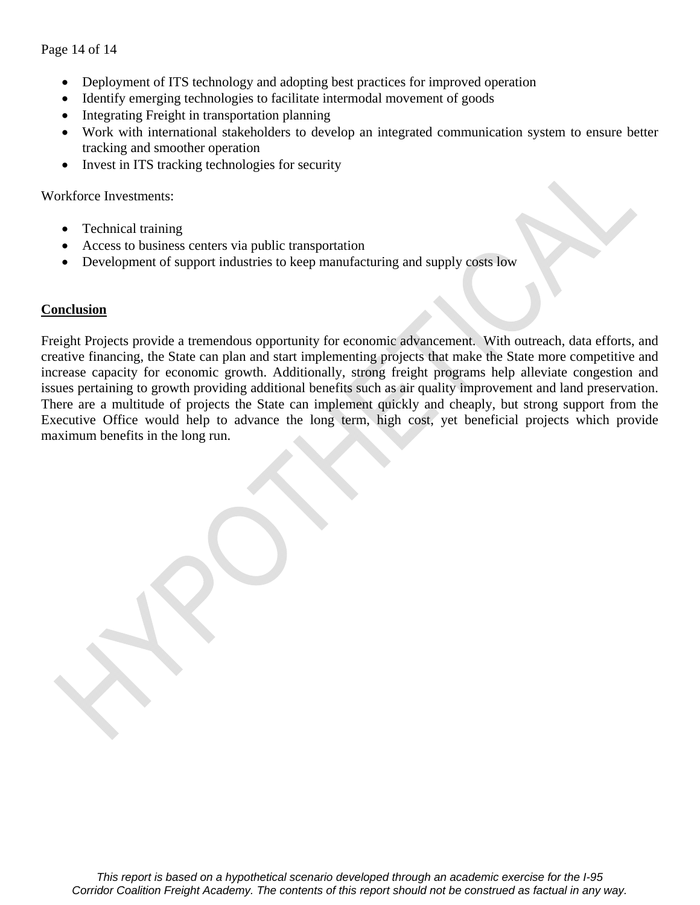Page 14 of 14

- Deployment of ITS technology and adopting best practices for improved operation
- Identify emerging technologies to facilitate intermodal movement of goods
- Integrating Freight in transportation planning
- Work with international stakeholders to develop an integrated communication system to ensure better tracking and smoother operation
- Invest in ITS tracking technologies for security

Workforce Investments:

- Technical training
- Access to business centers via public transportation
- Development of support industries to keep manufacturing and supply costs low

#### **Conclusion**

Freight Projects provide a tremendous opportunity for economic advancement. With outreach, data efforts, and creative financing, the State can plan and start implementing projects that make the State more competitive and increase capacity for economic growth. Additionally, strong freight programs help alleviate congestion and issues pertaining to growth providing additional benefits such as air quality improvement and land preservation. There are a multitude of projects the State can implement quickly and cheaply, but strong support from the Executive Office would help to advance the long term, high cost, yet beneficial projects which provide maximum benefits in the long run.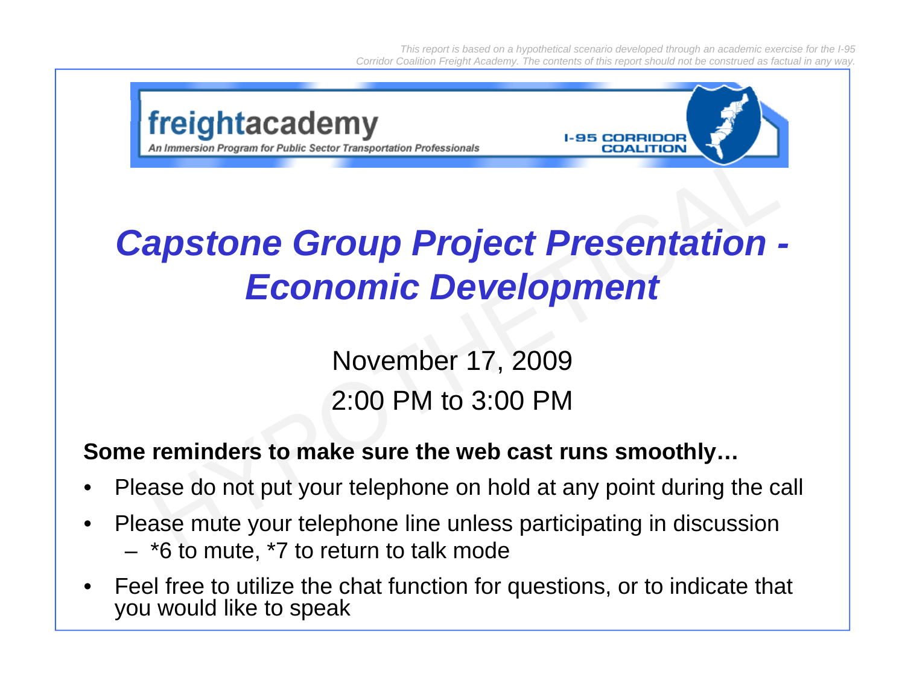*This report is based on a hypothetical scenario developed through an academic exercise for the I-95 Corridor Coalition Freight Academy. The contents of this report should not be construed as factual in any way.*



### *Capstone Group Project Presentation - Economic Development*

November 17, 2009 2:00 PM to 3:00 PM

#### **Some reminders to make sure the web cast runs smoothly…**

- •Please do not put your telephone on hold at any point during the call
- • Please mute your telephone line unless participating in discussion – \*6 to mute, \*7 to return to talk mode
- • Feel free to utilize the chat function for questions, or to indicate that you would like to speak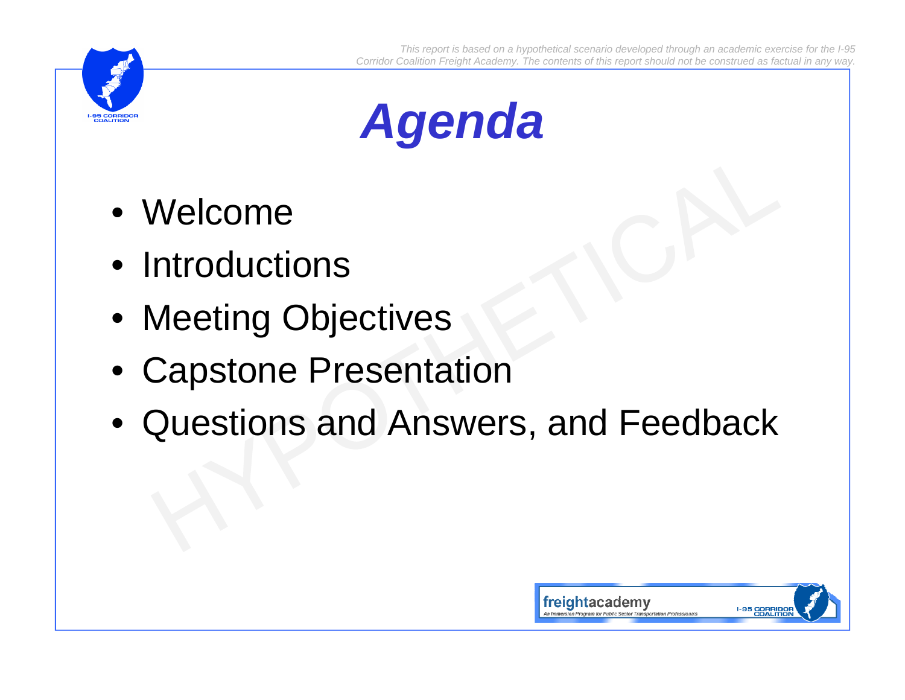



- Welcome
- Introductions
- Meeting Objectives
- Capstone Presentation
- Questions and Answers, and Feedback

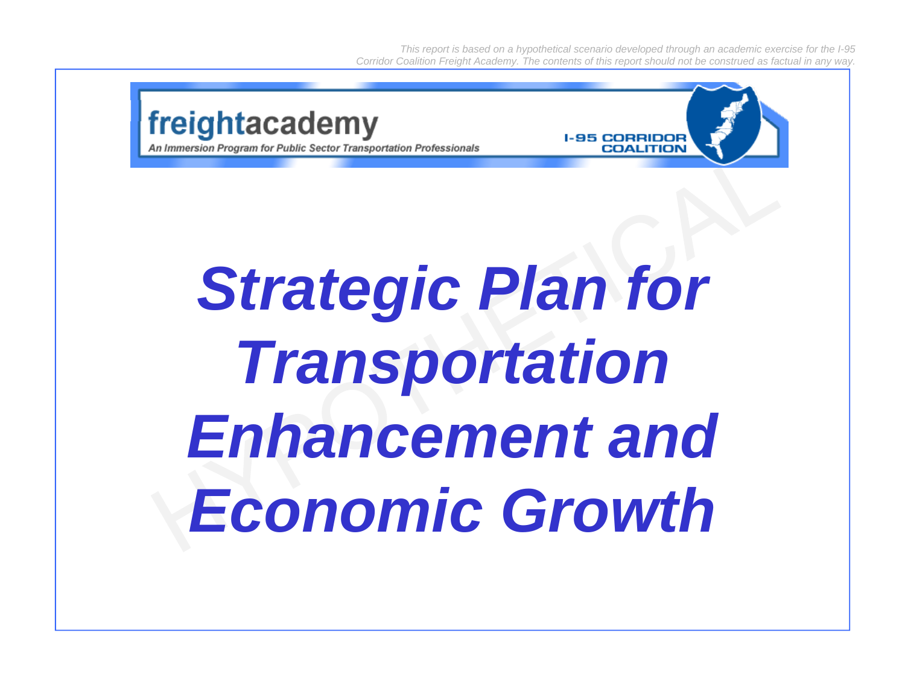*This report is based on a hypothetical scenario developed through an academic exercise for the I-95 Corridor Coalition Freight Academy. The contents of this report should not be construed as factual in any way.*



*Enhancement and Economic Growth*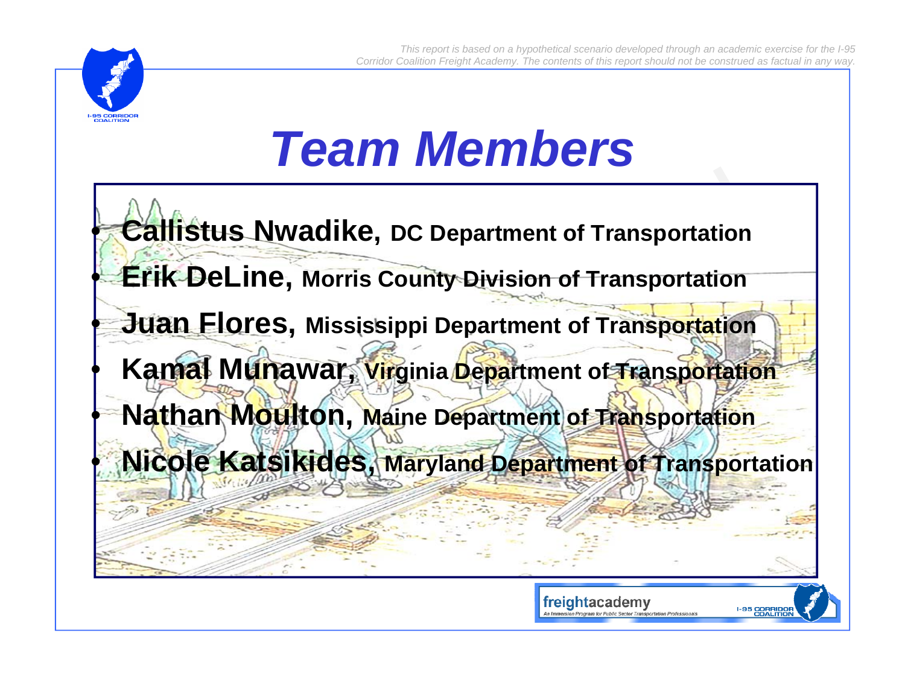

### *Team Members*

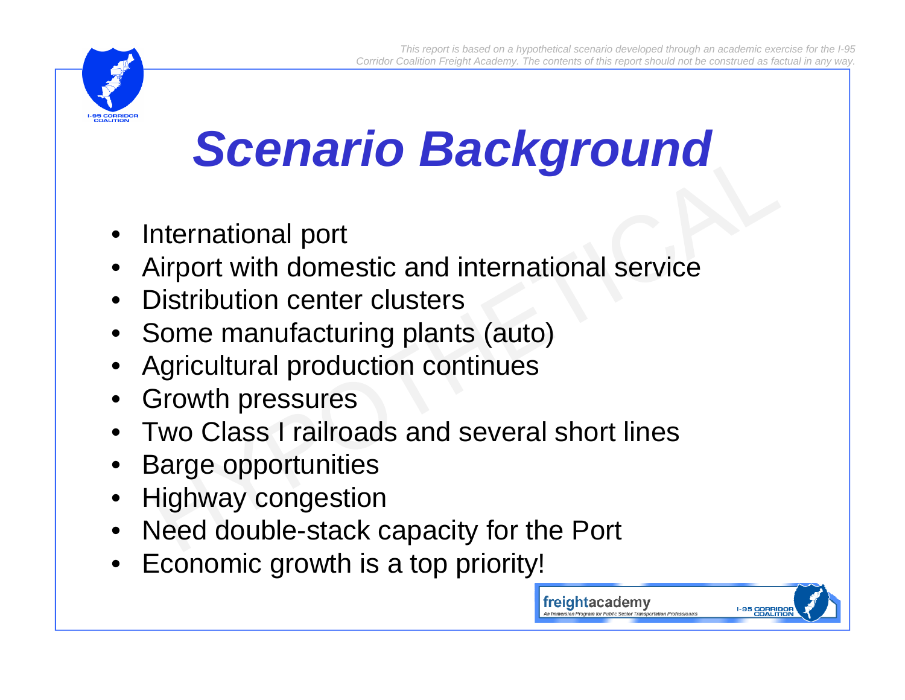freightacademy



# *Scenario Background*

- •International port
- •Airport with domestic and international service
- Distribution center clusters
- Some manufacturing plants (auto)
- •Agricultural production continues
- Growth pressures
- Two Class I railroads and several short lines
- •Barge opportunities
- Highway congestion
- Need double-stack capacity for the Port
- Economic growth is <sup>a</sup> top priority!

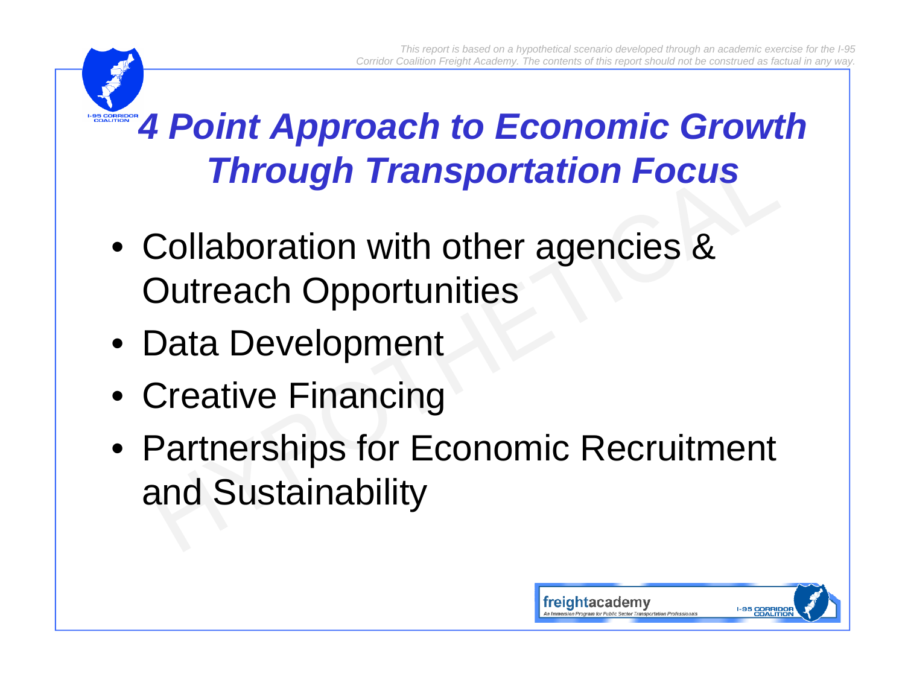### *4 Point Approach to Economic Growth Through Transportation Focus*

- Collaboration with other agencies & Outreach Opportunities
- Data Development
- Creative Financing
- Partnerships for Economic Recruitment and Sustainability

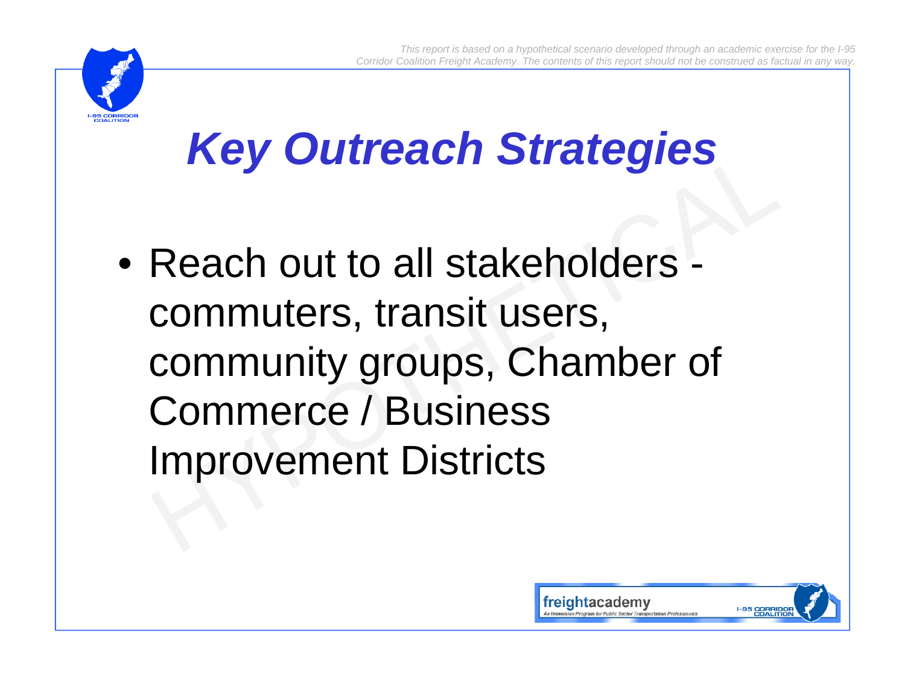

## *Key Outreach Strategies*

• Reach out to all stakeholders commuters, transit users, community groups, Chamber of Commerce / Business Improvement Districts

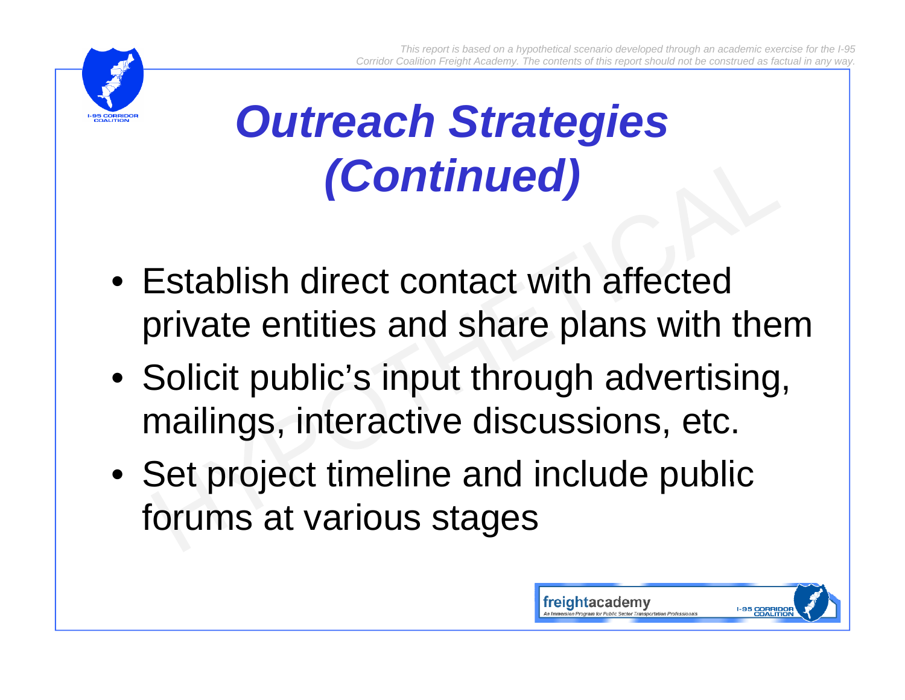

### *Outreach Strategies (Continued)*

- Establish direct contact with affected private entities and share plans with them
- $\bullet\,$  Solicit public's input through advertising, mailings, interactive discussions, etc.
- Set project timeline and include public forums at various stages

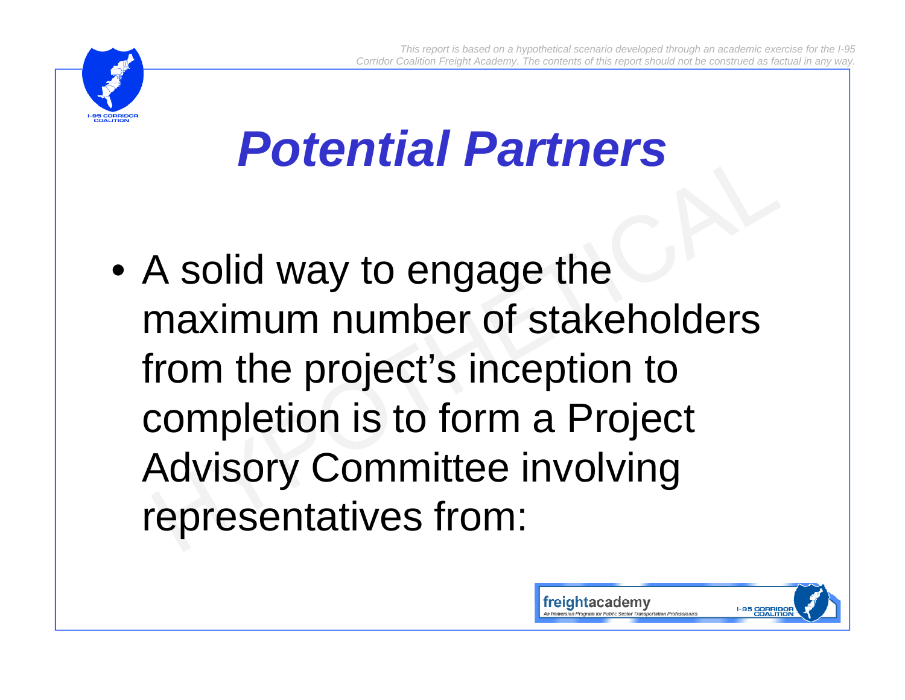

## *Potential Partners*

• A solid way to engage the maximum number of stakeholders from the project's inception to completion is to form a Project Advisory Committee involving representatives from:

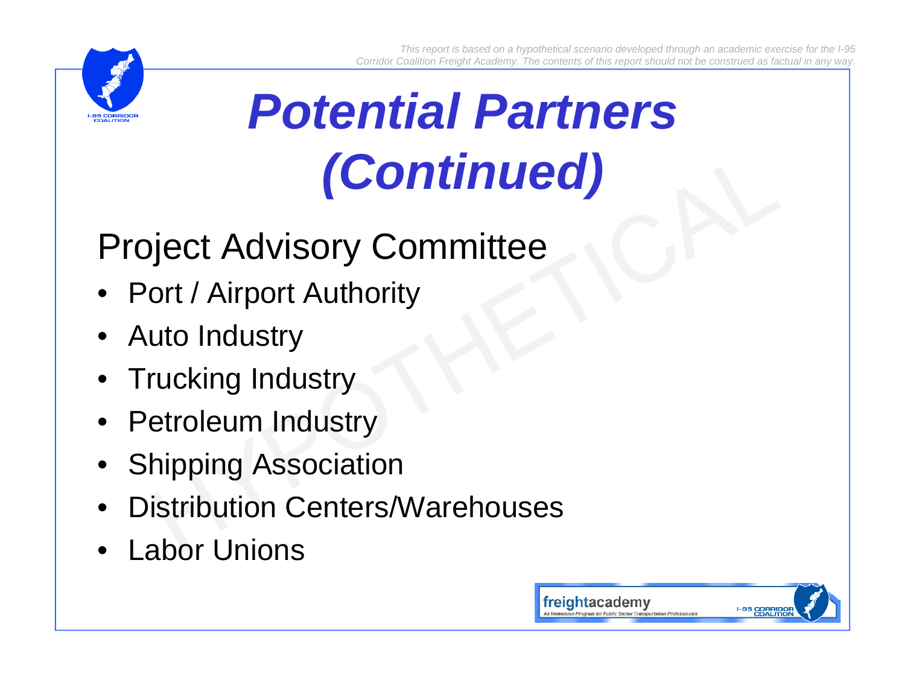

# *Pote t a a t e s ntial Partners (Continued)*

### Project Advisory Committee

- Port / Airport Authority
- •Auto Industry
- $\bullet~$  Trucking Industry
- •Petroleum Industry
- •Shipping Association
- •Distribution Centers/Warehouses
- •Labor Unions

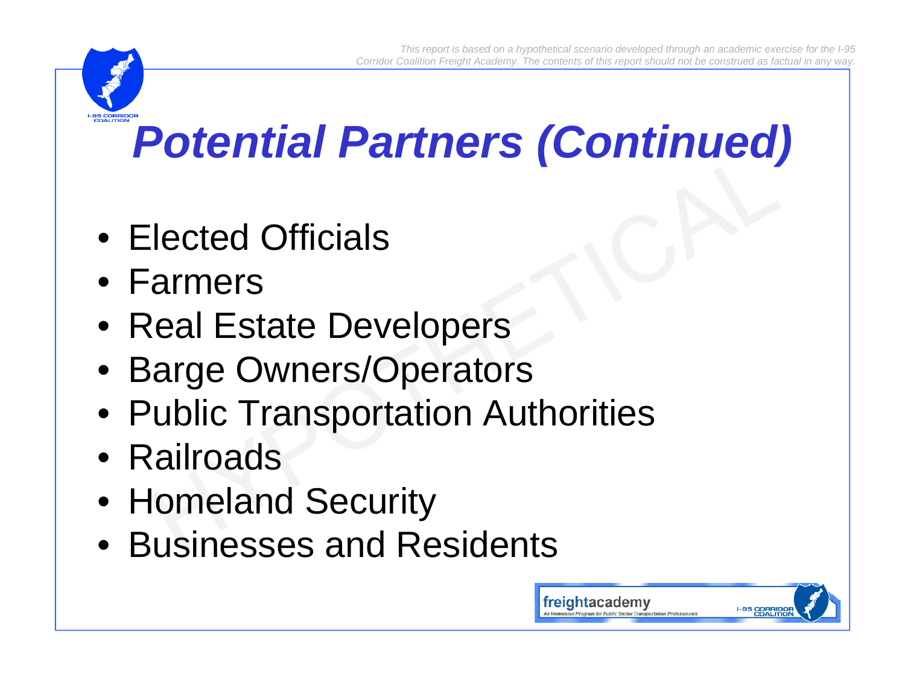## *P t ti l P t (C ti d) Potential Partners (Continued)*

- Elected Officials
- Farmers
- Real Estate Developers
- Barge Owners/Operators
- Public Transportation Authorities
- Railroads
- Homeland Security
- Businesses and Residents

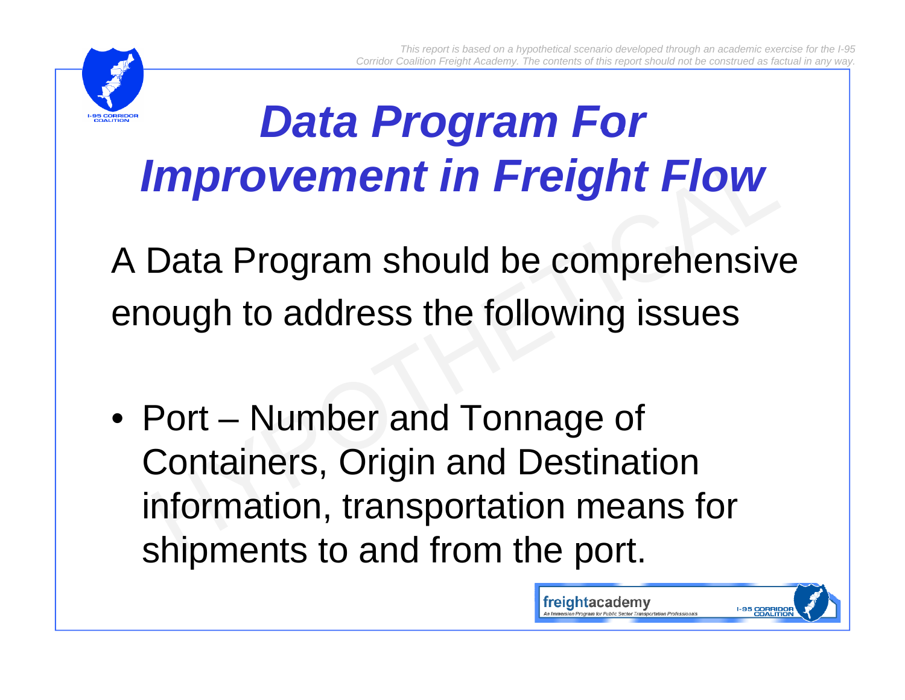

### *Data Program For For Improvement in Freight Flow*

A Data Program should be comprehensive enough to address the following issues

• Port – Number and Tonnage of Containers, Origin and Destination information, transportation means for shipments to and from the port.

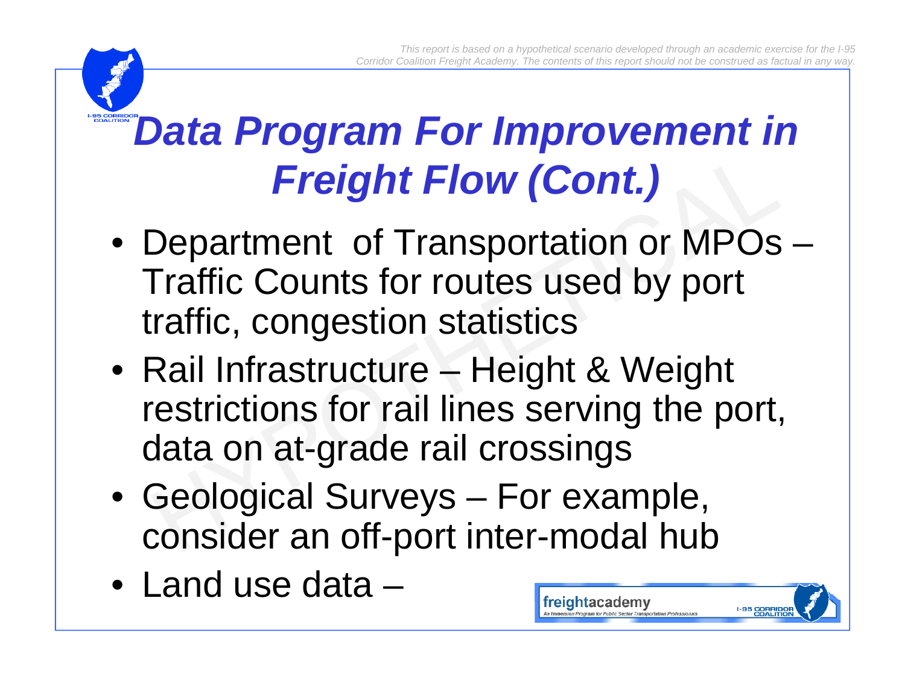freightacademy

**I-95 CORRIDO**<br>COALITIO

### *Data Program For Improvement in Freight Flow (Cont.)*

- Department of Transportation or MPOs Traffic Counts for routes used by port traffic, congestion statistics
- Rail Infrastructure Height & Weight restrictions for rail lines serving the port, data on at-grade rail crossings
- Geological Surveys For example, consider an off-port inter-modal hub
- Land use data –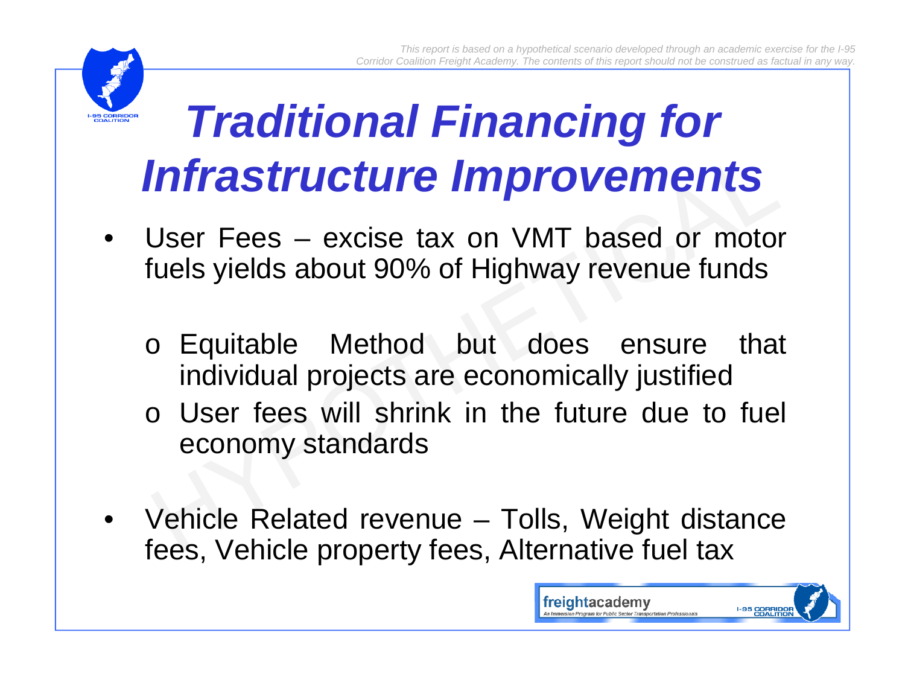

### *Traditional Financing for Infrastructure Improvements*

- User Fees excise tax on VMT based or motor fuels yields about 90% of Highway revenue funds
	- <sup>o</sup> Equitable Method but does ensure that individual projects are economically justified
	- o User fees will shrink in the future due to fuel economy standards
- Vehicle Related revenue Tolls, Weight distance fees, Vehicle property fees, Alternative fuel tax

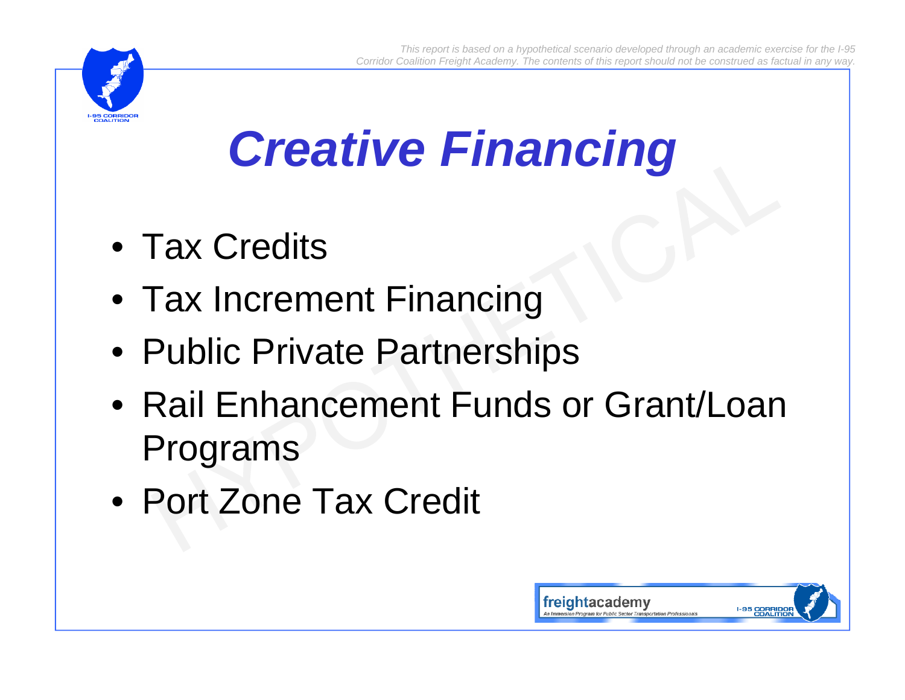

## *Creative Financing*

- Tax Credits
- Tax Increment Financing
- Public Private Partnerships
- Rail Enhancement Funds or Grant/Loan Programs
- Port Zone Tax Credit

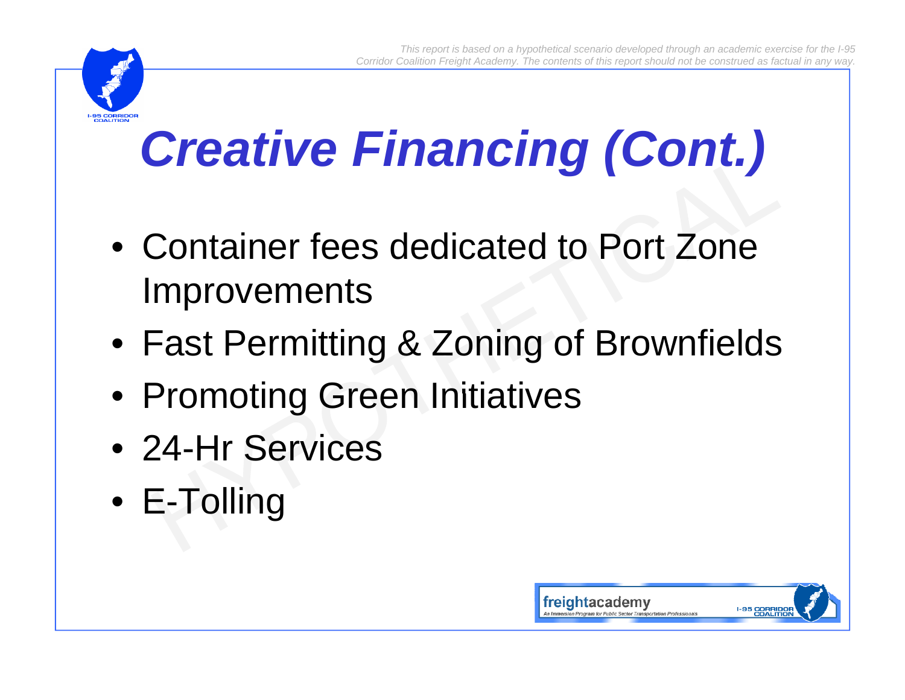

# *Creative Financing (Cont.)*

- Container fees dedicated to Port Zone Improvements
- Fast Permitting & Zoning of Brownfields
- Promoting Green Initiatives
- 24-Hr Services
- E-Tolling

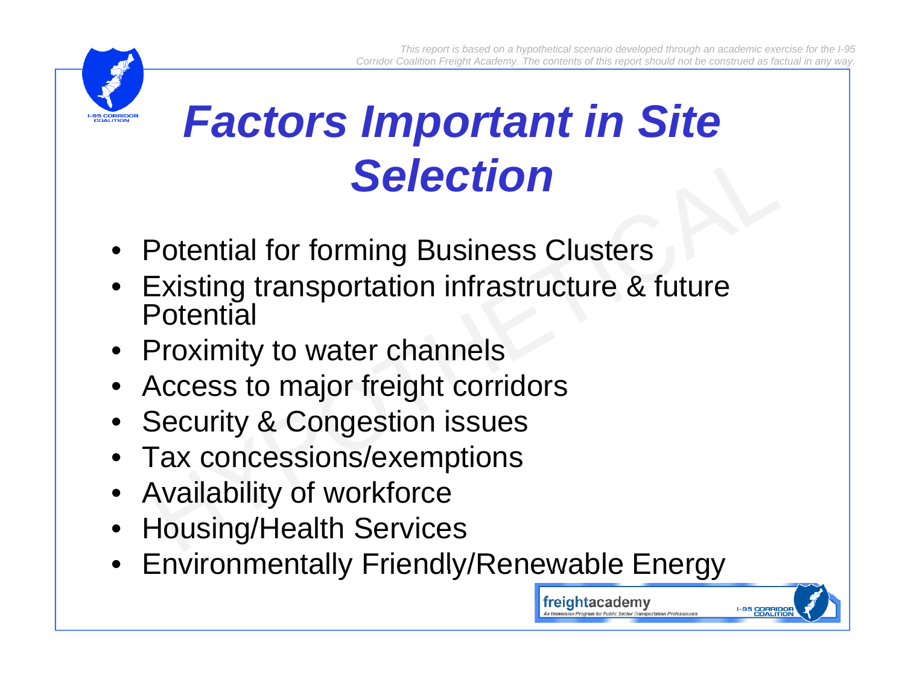freightacademv



### *Factors Important in* Site *Selection*

- Potential for forming Business Clusters
- Existing transportation infrastructure & future Potential
- Proximity to water channels
- Access to major freight corridors
- Security & Congestion issues
- Tax concessions/exemptions
- Availability of workforce
- Housing/Health Services
- Environmentally Friendly/Renewable Energy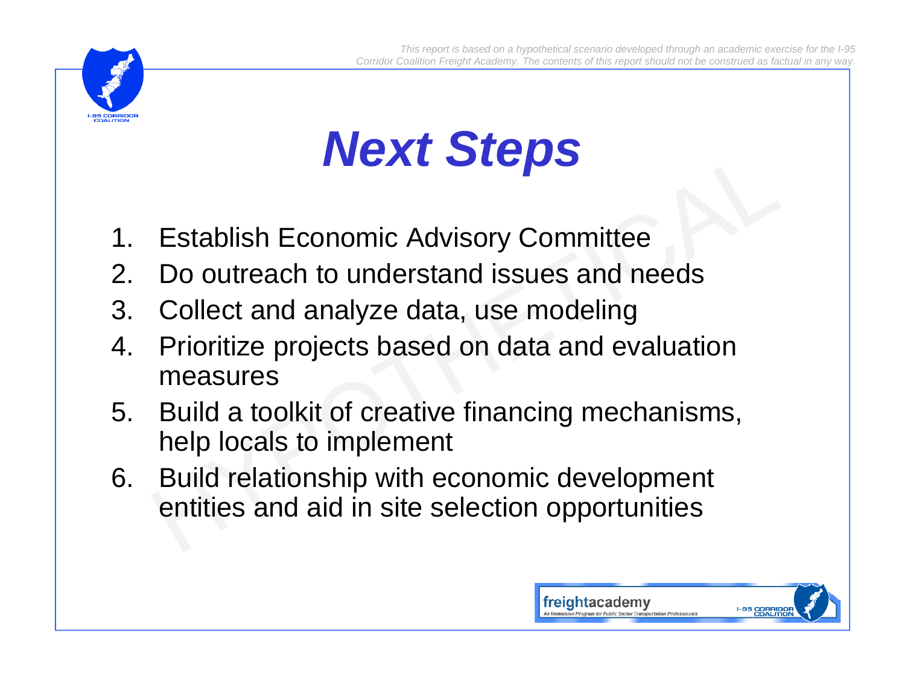

# *Next Steps*

- 1. Establish Economic Advisory Committee
- 2. Do outreach to understand issues and needs
- 3. Collect and analyze data, use modeling
- 4. Prioritize projects based on data and evaluation measures
- 5. Build a toolkit of creative financing mechanisms, help locals to implement
- 6. Build relationship with economic development entities and aid in site selection opportunities